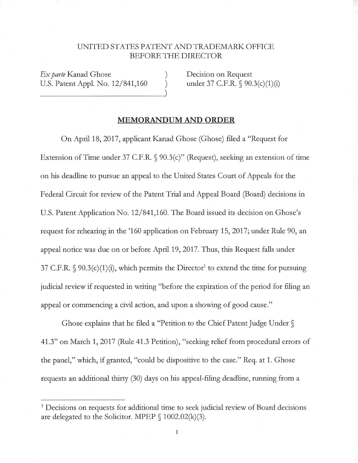## UNITED STATES PATENT AND TRADEMARK OFFICE BEFORE THE DIRECTOR

) )

 $Lx$  parte Kanad Ghose<br>U.S. Patent Appl. No. 12/841,160  $\qquad$ *Ex parte* Kanad Ghose U.S. Patent Appl. No. 12/841,160

Decision on Request under 37 C.F.R. § 90.3(c)(1)(i)

## **MEMORANDUM AND ORDER**

On April 18, 2017, applicant Kanad Ghose (Ghose) filed a "Request for Extension of Time under 37 C.F.R. § 90.3(c)" (Request), seeking an extension of time on his deadline to pursue an appeal to the United States Court of Appeals for the Federal Circuit for review of the Patent Trial and Appeal Board (Board) decisions in U.S. Patent Application No. 12/841,160. The Board issued its decision on Ghose's request for rehearing in the '160 application on February 15, 2017; under Rule 90, an appeal notice was due on or before April 19, 2017. Thus, this Request falls under 37 C.F.R.  $\S$  90.3(c)(1)(i), which permits the Director<sup>1</sup> to extend the time for pursuing judicial review if requested in writing "before the expiration of the period for filing an appeal or commencing a civil action, and upon a showing of good cause."

Ghose explains that he filed a "Petition to the Chief Patent Judge Under § 41.3" on March 1, 2017 (Rule 41.3 Petition), "seeking relief from procedural errors of the panel," which, if granted, "could be dispositive to the case." Req. at 1. Ghose requests an additional thirty (30) days on his appeal-filing deadline, running from a

 $\mathbf{1}$ 

<sup>&</sup>lt;sup>1</sup> Decisions on requests for additional time to seek judicial review of Board decisions are delegated to the Solicitor. MPEP  $\S$  1002.02(k)(3).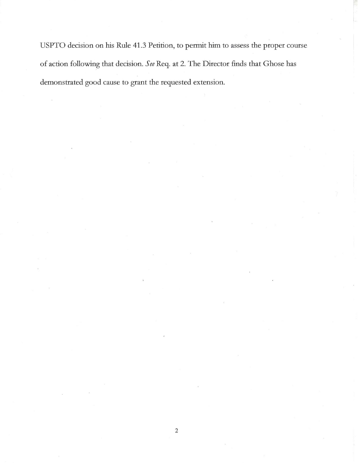USPTO decision on his Rule 41.3 Petition, to permit him to assess the proper course of action following that decision. *See* Req. at 2. The Director finds that Ghose has demonstrated good cause to grant the requested extension.